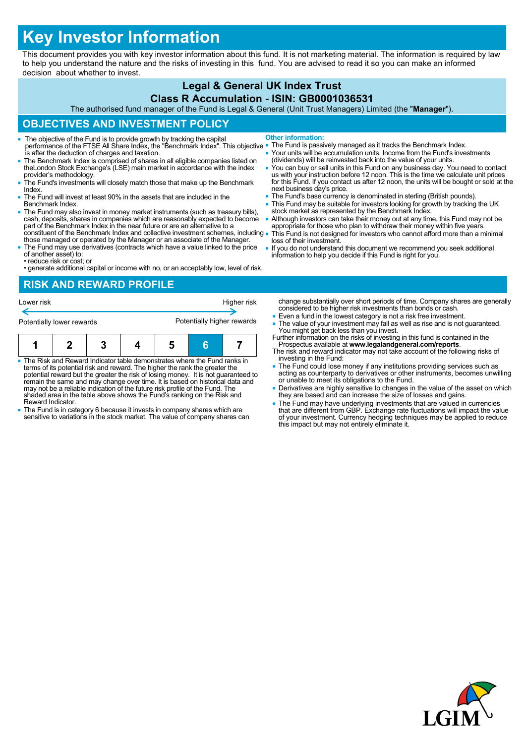# **Key Investor Information**

This document provides you with key investor information about this fund. It is not marketing material. The information is required by law to help you understand the nature and the risks of investing in this fund. You are advised to read it so you can make an informed decision about whether to invest.

# **Legal & General UK Index Trust**

#### **Class R Accumulation - ISIN: GB0001036531**

The authorised fund manager of the Fund is Legal & General (Unit Trust Managers) Limited (the "**Manager**").

## **OBJECTIVES AND INVESTMENT POLICY**

- The objective of the Fund is to provide growth by tracking the capital performance of the FTSE All Share Index, the "Benchmark Index". This objective is after the deduction of charges and taxation.
- The Benchmark Index is comprised of shares in all eligible companies listed on theLondon Stock Exchange's (LSE) main market in accordance with the index provider's methodology.
- The Fund's investments will closely match those that make up the Benchmark Index.
- The Fund will invest at least 90% in the assets that are included in the Benchmark Index.
- The Fund may also invest in money market instruments (such as treasury bills), cash, deposits, shares in companies which are reasonably expected to become part of the Benchmark Index in the near future or are an alternative to a constituent of the Benchmark Index and collective investment schemes, including
- those managed or operated by the Manager or an associate of the Manager. The Fund may use derivatives (contracts which have a value linked to the price
- of another asset) to: • reduce risk or cost; or
- generate additional capital or income with no, or an acceptably low, level of risk.

#### **RISK AND REWARD PROFILE**

| Lower risk                |  |  |  |                            |   | Higher risk |
|---------------------------|--|--|--|----------------------------|---|-------------|
| Potentially lower rewards |  |  |  | Potentially higher rewards |   |             |
|                           |  |  |  | 5                          | Б |             |

- The Risk and Reward Indicator table demonstrates where the Fund ranks in terms of its potential risk and reward. The higher the rank the greater the potential reward but the greater the risk of losing money. It is not guaranteed to remain the same and may change over time. It is based on historical data and may not be a reliable indication of the future risk profile of the Fund. The shaded area in the table above shows the Fund's ranking on the Risk and Reward Indicator.
- The Fund is in category 6 because it invests in company shares which are sensitive to variations in the stock market. The value of company shares can
- **Other information:** The Fund is passively managed as it tracks the Benchmark Index.
- Your units will be accumulation units. Income from the Fund's investments (dividends) will be reinvested back into the value of your units.
- You can buy or sell units in this Fund on any business day. You need to contact<br>us with your instruction before 12 noon. This is the time we calculate unit prices<br>for this Fund. If you contact us after 12 noon, the units next business day's price.
- The Fund's base currency is denominated in sterling (British pounds).
- This Fund may be suitable for investors looking for growth by tracking the UK stock market as represented by the Benchmark Index.
- Although investors can take their money out at any time, this Fund may not be appropriate for those who plan to withdraw their money within five years. This Fund is not designed for investors who cannot afford more than a minimal
- loss of their investment. If you do not understand this document we recommend you seek additional
- information to help you decide if this Fund is right for you.

change substantially over short periods of time. Company shares are generally considered to be higher risk investments than bonds or cash.

- Even a fund in the lowest category is not a risk free investment.
- The value of your investment may fall as well as rise and is not guaranteed. You might get back less than you invest. Further information on the risks of investing in this fund is contained in the
- Prospectus available at **www.legalandgeneral.com/reports**. The risk and reward indicator may not take account of the following risks of
- investing in the Fund: The Fund could lose money if any institutions providing services such as acting as counterparty to derivatives or other instruments, becomes unwilling or unable to meet its obligations to the Fund.
- Derivatives are highly sensitive to changes in the value of the asset on which they are based and can increase the size of losses and gains.
- The Fund may have underlying investments that are valued in currencies<br>that are different from GBP. Exchange rate fluctuations will impact the value<br>of your investment. Currency hedging techniques may be applied to reduc